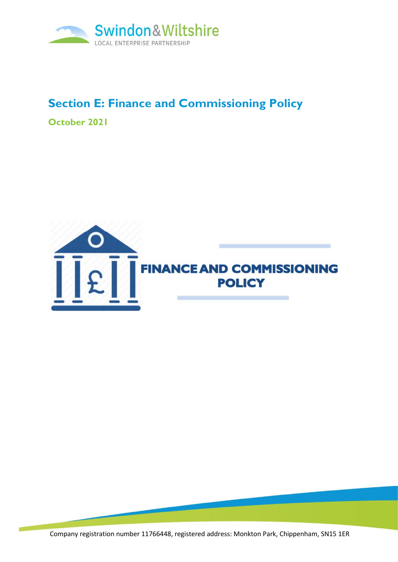

# **Section E: Finance and Commissioning Policy**

**October 2021**



Company registration number 11766448, registered address: Monkton Park, Chippenham, SN15 1ER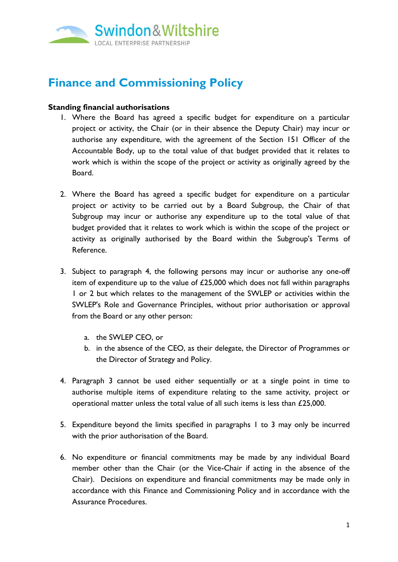

# **Finance and Commissioning Policy**

#### <span id="page-1-0"></span>**Standing financial authorisations**

- 1. Where the Board has agreed a specific budget for expenditure on a particular project or activity, the Chair (or in their absence the Deputy Chair) may incur or authorise any expenditure, with the agreement of the Section 151 Officer of the Accountable Body, up to the total value of that budget provided that it relates to work which is within the scope of the project or activity as originally agreed by the Board.
- <span id="page-1-1"></span>2. Where the Board has agreed a specific budget for expenditure on a particular project or activity to be carried out by a Board Subgroup, the Chair of that Subgroup may incur or authorise any expenditure up to the total value of that budget provided that it relates to work which is within the scope of the project or activity as originally authorised by the Board within the Subgroup's Terms of Reference.
- <span id="page-1-2"></span>3. Subject to paragraph 4, the following persons may incur or authorise any one-off item of expenditure up to the value of £25,000 which does not fall within paragraphs [1](#page-1-0) or [2](#page-1-1) but which relates to the management of the SWLEP or activities within the SWLEP's Role and Governance Principles, without prior authorisation or approval from the Board or any other person:
	- a. the SWLEP CEO, or
	- b. in the absence of the CEO, as their delegate, the Director of Programmes or the Director of Strategy and Policy.
- 4. Paragraph 3 cannot be used either sequentially or at a single point in time to authorise multiple items of expenditure relating to the same activity, project or operational matter unless the total value of all such items is less than £25,000.
- 5. Expenditure beyond the limits specified in paragraphs [1](#page-1-0) to [3](#page-1-2) may only be incurred with the prior authorisation of the Board.
- 6. No expenditure or financial commitments may be made by any individual Board member other than the Chair (or the Vice-Chair if acting in the absence of the Chair). Decisions on expenditure and financial commitments may be made only in accordance with this Finance and Commissioning Policy and in accordance with the Assurance Procedures.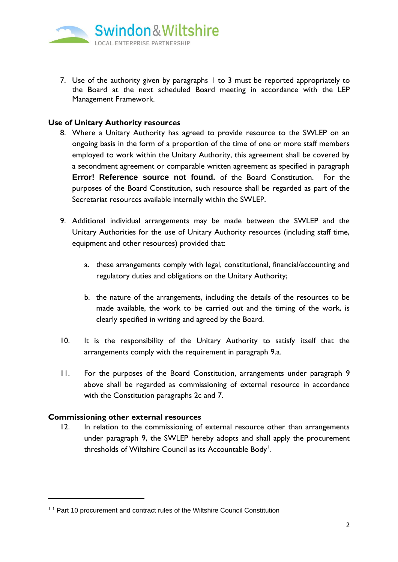

7. Use of the authority given by paragraphs [1](#page-1-0) to [3](#page-1-2) must be reported appropriately to the Board at the next scheduled Board meeting in accordance with the LEP Management Framework.

### **Use of Unitary Authority resources**

- 8. Where a Unitary Authority has agreed to provide resource to the SWLEP on an ongoing basis in the form of a proportion of the time of one or more staff members employed to work within the Unitary Authority, this agreement shall be covered by a secondment agreement or comparable written agreement as specified in paragraph **Error! Reference source not found.** of the Board Constitution. For the purposes of the Board Constitution, such resource shall be regarded as part of the Secretariat resources available internally within the SWLEP.
- <span id="page-2-1"></span><span id="page-2-0"></span>9. Additional individual arrangements may be made between the SWLEP and the Unitary Authorities for the use of Unitary Authority resources (including staff time, equipment and other resources) provided that:
	- a. these arrangements comply with legal, constitutional, financial/accounting and regulatory duties and obligations on the Unitary Authority;
	- b. the nature of the arrangements, including the details of the resources to be made available, the work to be carried out and the timing of the work, is clearly specified in writing and agreed by the Board.
- 10. It is the responsibility of the Unitary Authority to satisfy itself that the arrangements comply with the requirement in paragraph [9.a.](#page-2-0)
- 11. For the purposes of the Board Constitution, arrangements under paragraph [9](#page-2-1) above shall be regarded as commissioning of external resource in accordance with the Constitution paragraphs 2c and 7.

### **Commissioning other external resources**

12. In relation to the commissioning of external resource other than arrangements under paragraph [9,](#page-2-1) the SWLEP hereby adopts and shall apply the procurement thresholds of Wiltshire Council as its Accountable Body $^{\mathsf{l}}$ .

<sup>&</sup>lt;sup>11</sup> Part 10 procurement and contract rules of the Wiltshire Council Constitution